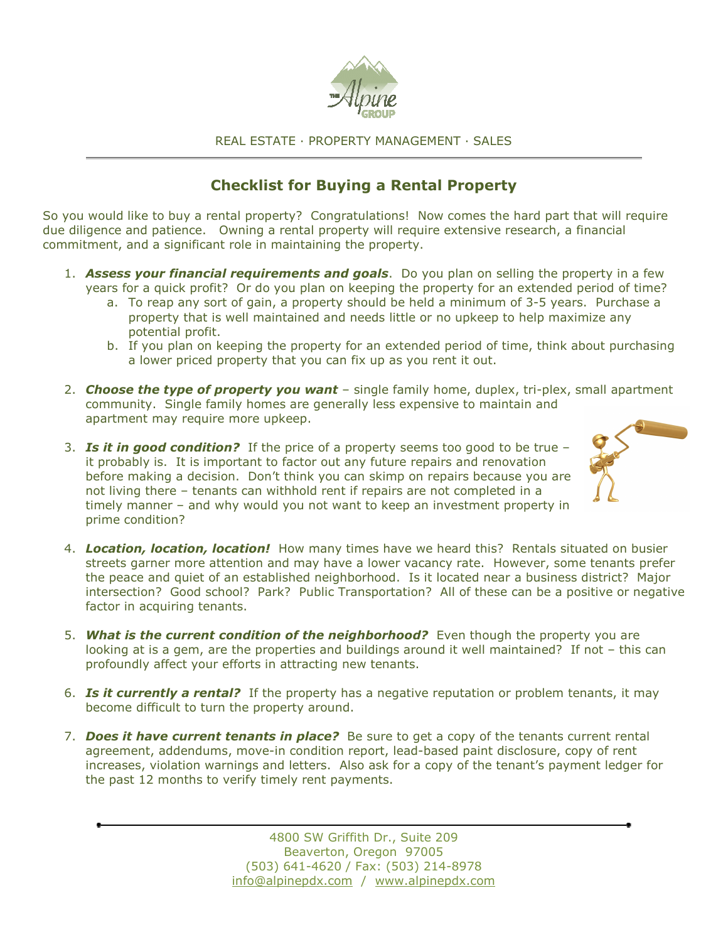

#### REAL ESTATE ∙ PROPERTY MANAGEMENT ∙ SALES

# Checklist for Buying a Rental Property

So you would like to buy a rental property? Congratulations! Now comes the hard part that will require due diligence and patience. Owning a rental property will require extensive research, a financial commitment, and a significant role in maintaining the property.

- 1. **Assess your financial requirements and goals**. Do you plan on selling the property in a few years for a quick profit? Or do you plan on keeping the property for an extended period of time?
	- a. To reap any sort of gain, a property should be held a minimum of 3-5 years. Purchase a property that is well maintained and needs little or no upkeep to help maximize any potential profit.
	- b. If you plan on keeping the property for an extended period of time, think about purchasing a lower priced property that you can fix up as you rent it out.
- 2. Choose the type of property you want  $-$  single family home, duplex, tri-plex, small apartment community. Single family homes are generally less expensive to maintain and apartment may require more upkeep.
- 3. Is it in good condition? If the price of a property seems too good to be true  $$ it probably is. It is important to factor out any future repairs and renovation before making a decision. Don't think you can skimp on repairs because you are not living there – tenants can withhold rent if repairs are not completed in a timely manner – and why would you not want to keep an investment property in prime condition?



- 4. Location, location, location! How many times have we heard this? Rentals situated on busier streets garner more attention and may have a lower vacancy rate. However, some tenants prefer the peace and quiet of an established neighborhood. Is it located near a business district? Major intersection? Good school? Park? Public Transportation? All of these can be a positive or negative factor in acquiring tenants.
- 5. What is the current condition of the neighborhood? Even though the property you are looking at is a gem, are the properties and buildings around it well maintained? If not – this can profoundly affect your efforts in attracting new tenants.
- 6. **Is it currently a rental?** If the property has a negative reputation or problem tenants, it may become difficult to turn the property around.
- 7. **Does it have current tenants in place?** Be sure to get a copy of the tenants current rental agreement, addendums, move-in condition report, lead-based paint disclosure, copy of rent increases, violation warnings and letters. Also ask for a copy of the tenant's payment ledger for the past 12 months to verify timely rent payments.

4800 SW Griffith Dr., Suite 209 Beaverton, Oregon 97005 (503) 641-4620 / Fax: (503) 214-8978 info@alpinepdx.com / www.alpinepdx.com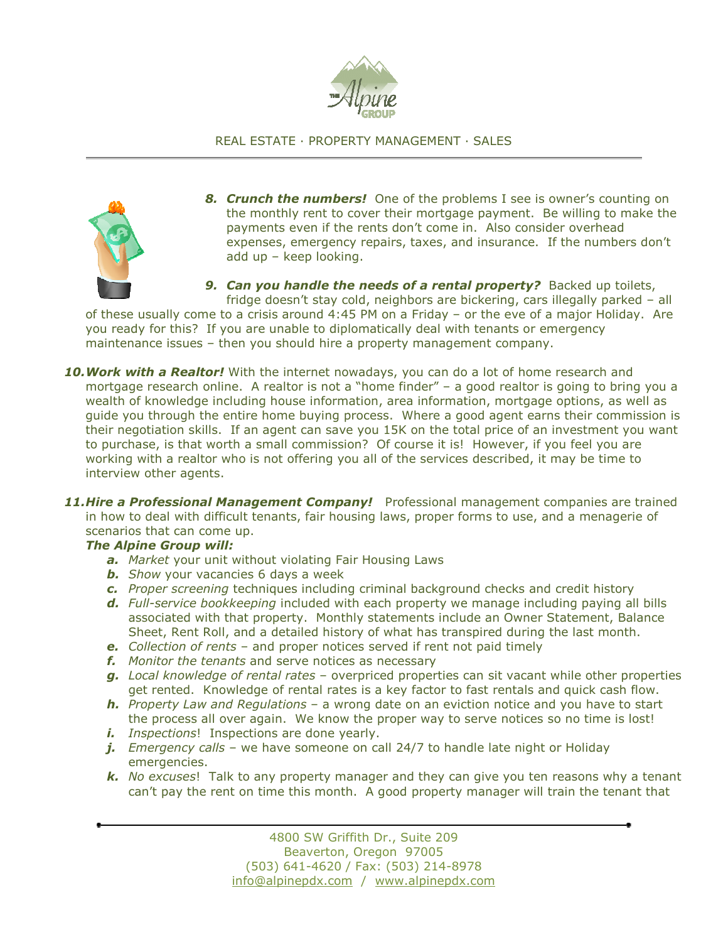

## REAL ESTATE ∙ PROPERTY MANAGEMENT ∙ SALES



8. Crunch the numbers! One of the problems I see is owner's counting on the monthly rent to cover their mortgage payment. Be willing to make the payments even if the rents don't come in. Also consider overhead expenses, emergency repairs, taxes, and insurance. If the numbers don't add up – keep looking.

9. Can you handle the needs of a rental property? Backed up toilets, fridge doesn't stay cold, neighbors are bickering, cars illegally parked – all

of these usually come to a crisis around 4:45 PM on a Friday – or the eve of a major Holiday. Are you ready for this? If you are unable to diplomatically deal with tenants or emergency maintenance issues – then you should hire a property management company.

- 10. Work with a Realtor! With the internet nowadays, you can do a lot of home research and mortgage research online. A realtor is not a "home finder" – a good realtor is going to bring you a wealth of knowledge including house information, area information, mortgage options, as well as guide you through the entire home buying process. Where a good agent earns their commission is their negotiation skills. If an agent can save you 15K on the total price of an investment you want to purchase, is that worth a small commission? Of course it is! However, if you feel you are working with a realtor who is not offering you all of the services described, it may be time to interview other agents.
- 11. Hire a Professional Management Company! Professional management companies are trained in how to deal with difficult tenants, fair housing laws, proper forms to use, and a menagerie of scenarios that can come up.

#### The Alpine Group will:

- a. Market your unit without violating Fair Housing Laws
- **b.** Show your vacancies 6 days a week
- c. Proper screening techniques including criminal background checks and credit history
- d. Full-service bookkeeping included with each property we manage including paying all bills associated with that property. Monthly statements include an Owner Statement, Balance Sheet, Rent Roll, and a detailed history of what has transpired during the last month.
- e. Collection of rents and proper notices served if rent not paid timely
- f. Monitor the tenants and serve notices as necessary
- g. Local knowledge of rental rates overpriced properties can sit vacant while other properties get rented. Knowledge of rental rates is a key factor to fast rentals and quick cash flow.
- **h.** Property Law and Regulations a wrong date on an eviction notice and you have to start the process all over again. We know the proper way to serve notices so no time is lost!
- i. Inspections! Inspections are done yearly.
- j. Emergency calls we have someone on call 24/7 to handle late night or Holiday emergencies.
- k. No excuses! Talk to any property manager and they can give you ten reasons why a tenant can't pay the rent on time this month. A good property manager will train the tenant that

4800 SW Griffith Dr., Suite 209 Beaverton, Oregon 97005 (503) 641-4620 / Fax: (503) 214-8978 info@alpinepdx.com / www.alpinepdx.com